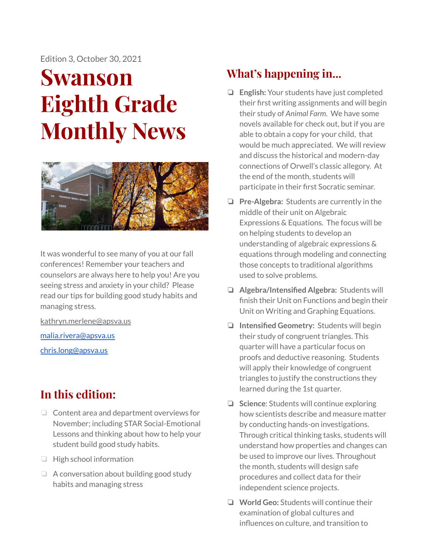Edition 3, October 30, 2021

# **Swanson Eighth Grade Monthly News**



It was wonderful to see many of you at our fall conferences! Remember your teachers and counselors are always here to help you! Are you seeing stress and anxiety in your child? Please read our tips for building good study habits and managing stress.

[kathryn.merlene@apsva.us](mailto:kathryn.merlene@apsva.us)

[malia.rivera@apsva.us](mailto:malia.rivera@apsva.us)

[chris.long@apsva.us](mailto:chris.long@apsva.us)

## **In this edition:**

- ❏ Content area and department overviews for November; including STAR Social-Emotional Lessons and thinking about how to help your student build good study habits.
- ❏ High school information
- ❏ A conversation about building good study habits and managing stress

# **What's happening in...**

- ❏ **English:** Your students have just completed their first writing assignments and will begin their study of *Animal Farm*. We have some novels available for check out, but if you are able to obtain a copy for your child, that would be much appreciated. We will review and discuss the historical and modern-day connections of Orwell's classic allegory. At the end of the month, students will participate in their first Socratic seminar.
- ❏ **Pre-Algebra:** Students are currently in the middle of their unit on Algebraic Expressions & Equations. The focus will be on helping students to develop an understanding of algebraic expressions & equations through modeling and connecting those concepts to traditional algorithms used to solve problems.
- ❏ **Algebra/Intensified Algebra:** Students will finish their Unit on Functions and begin their Unit on Writing and Graphing Equations.
- ❏ **Intensified Geometry:** Students will begin their study of congruent triangles. This quarter will have a particular focus on proofs and deductive reasoning. Students will apply their knowledge of congruent triangles to justify the constructions they learned during the 1st quarter.
- ❏ **Science**: Students will continue exploring how scientists describe and measure matter by conducting hands-on investigations. Through critical thinking tasks, students will understand how properties and changes can be used to improve our lives. Throughout the month, students will design safe procedures and collect data for their independent science projects.
- ❏ **World Geo:** Students will continue their examination of global cultures and influences on culture, and transition to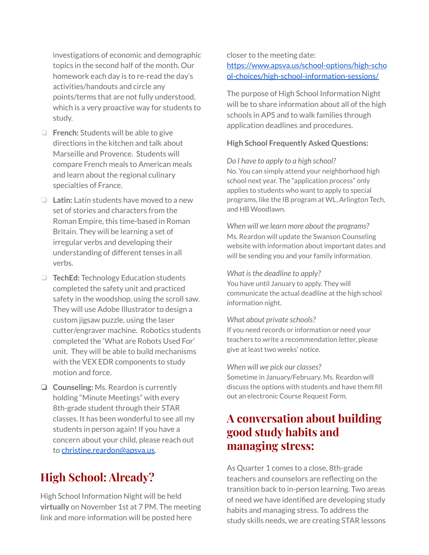investigations of economic and demographic topics in the second half of the month. Our homework each day is to re-read the day's activities/handouts and circle any points/terms that are not fully understood, which is a very proactive way for students to study.

- ❏ **French:** Students will be able to give directions in the kitchen and talk about Marseille and Provence. Students will compare French meals to American meals and learn about the regional culinary specialties of France.
- ❏ **Latin:** Latin students have moved to a new set of stories and characters from the Roman Empire, this time-based in Roman Britain. They will be learning a set of irregular verbs and developing their understanding of different tenses in all verbs.
- ❏ **TechEd:** Technology Education students completed the safety unit and practiced safety in the woodshop, using the scroll saw. They will use Adobe Illustrator to design a custom jigsaw puzzle, using the laser cutter/engraver machine. Robotics students completed the 'What are Robots Used For' unit. They will be able to build mechanisms with the VEX EDR components to study motion and force.
- ❏ **Counseling:** Ms. Reardon is currently holding "Minute Meetings" with every 8th-grade student through their STAR classes. It has been wonderful to see all my students in person again! If you have a concern about your child, please reach out to [christine.reardon@apsva.us.](mailto:christine.reardon@apsva.us)

## **High School: Already?**

High School Information Night will be held **virtually** on November 1st at 7 PM. The meeting link and more information will be posted here

#### closer to the meeting date: [https://www.apsva.us/school-options/high-scho](https://www.apsva.us/school-options/high-school-choices/high-school-information-sessions/)

[ol-choices/high-school-information-sessions/](https://www.apsva.us/school-options/high-school-choices/high-school-information-sessions/)

The purpose of High School Information Night will be to share information about all of the high schools in APS and to walk families through application deadlines and procedures.

#### **High School Frequently Asked Questions:**

#### *Do I have to apply to a high school?*

No. You can simply attend your neighborhood high school next year. The "application process" only applies to students who want to apply to special programs, like the IB program at WL, Arlington Tech, and HB Woodlawn.

*When will we learn more about the programs?* Ms. Reardon will update the Swanson Counseling website with information about important dates and will be sending you and your family information.

#### *What isthe deadline to apply?*

You have until January to apply. They will communicate the actual deadline at the high school information night.

#### *What about private schools?*

If you need records or information or need your teachers to write a recommendation letter, please give at least two weeks' notice.

#### *When will we pick our classes?*

Sometime in January/February. Ms. Reardon will discuss the options with students and have them fill out an electronic Course Request Form.

### **A conversation about building good study habits and managing stress:**

As Quarter 1 comes to a close, 8th-grade teachers and counselors are reflecting on the transition back to in-person learning. Two areas of need we have identified are developing study habits and managing stress. To address the study skills needs, we are creating STAR lessons